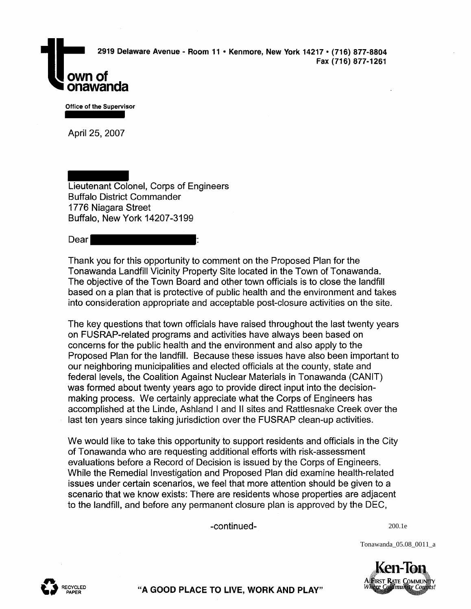Office of the Supervisor

onawanda

April 25, 2007

Lieutenant Colonel, Corps of Engineers Buffalo District Commander 1776 Niagara Street Buffalo, New York 14207-3199

## Dear

Thank you for this opportunity to comment on the Proposed Plan for the Tonawanda Landfill Vicinity Property Site located in the Town of Tonawanda. The objective of the Town Board and other town officials is to close the landfill based on a plan that is protective of public health and the environment and takes into consideration appropriate and acceptable post-closure activities on the site.

The key questions that town officials have raised throughout the last twenty years on FUSRAP-related programs and activities have always been based on concerns for the public health and the environment and also apply to the Proposed Plan for the landfill. Because these issues have also been important to our neighboring municipalities and elected officials at the county, state and federal levels, the Coalition Against Nuclear Materials in Tonawanda (CANIT) was formed about twenty years ago to provide direct input into the decisionmaking process. We certainly appreciate what the Corps of Engineers has accomplished at the Linde, Ashland I and II sites and Rattlesnake Creek over the last ten years since taking jurisdiction over the FUSRAP clean-up activities.

We would like to take this opportunity to support residents and officials in the City of Tonawanda who are requesting additional efforts with risk-assessment evaluations before a Record of Decision is issued by the Corps of Engineers. While the Remedial Investigation and Proposed Plan did examine health-related issues under certain scenarios, we feel that more attention should be given to a scenario that we know exists: There are residents whose properties are adjacent to the landfill, and before any permanent closure plan is approved by the DEC,

-continued-

200.1e

Tonawanda\_05.08\_0011\_a





**"A GOOD PLACE TO LIVE, WORK AND PLAY"**